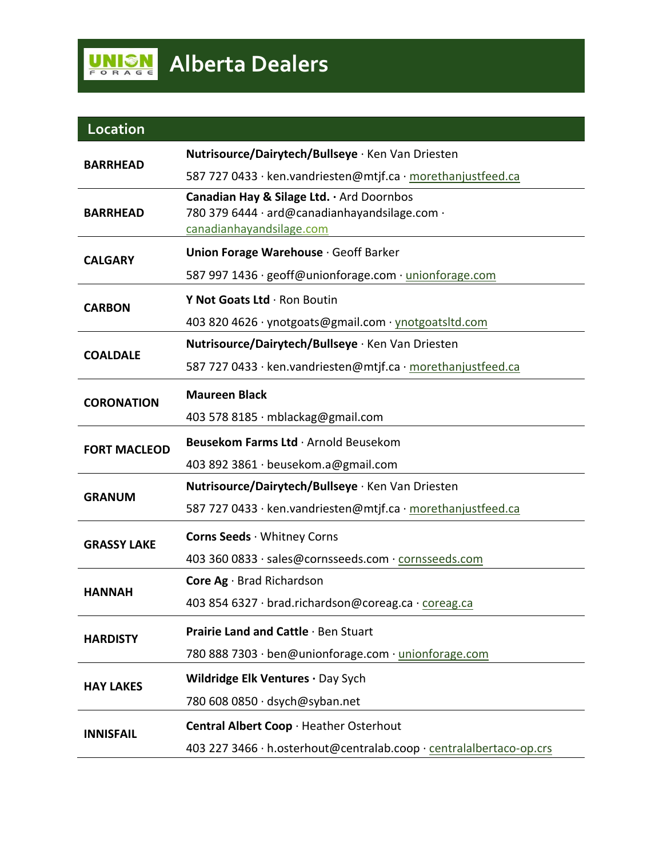| Location            |                                                                     |
|---------------------|---------------------------------------------------------------------|
| <b>BARRHEAD</b>     | Nutrisource/Dairytech/Bullseye · Ken Van Driesten                   |
|                     | 587 727 0433 · ken.vandriesten@mtjf.ca · morethanjustfeed.ca        |
| <b>BARRHEAD</b>     | Canadian Hay & Silage Ltd. . Ard Doornbos                           |
|                     | 780 379 6444 · ard@canadianhayandsilage.com ·                       |
|                     | canadianhayandsilage.com                                            |
| <b>CALGARY</b>      | Union Forage Warehouse · Geoff Barker                               |
|                     | 587 997 1436 · geoff@unionforage.com · unionforage.com              |
| <b>CARBON</b>       | Y Not Goats Ltd · Ron Boutin                                        |
|                     | 403 820 4626 · ynotgoats@gmail.com · ynotgoatsltd.com               |
| <b>COALDALE</b>     | Nutrisource/Dairytech/Bullseye · Ken Van Driesten                   |
|                     | 587 727 0433 · ken.vandriesten@mtjf.ca · morethanjustfeed.ca        |
| <b>CORONATION</b>   | <b>Maureen Black</b>                                                |
|                     | 403 578 8185 · mblackag@gmail.com                                   |
| <b>FORT MACLEOD</b> | Beusekom Farms Ltd · Arnold Beusekom                                |
|                     | 403 892 3861 · beusekom.a@gmail.com                                 |
| <b>GRANUM</b>       | Nutrisource/Dairytech/Bullseye · Ken Van Driesten                   |
|                     | 587 727 0433 · ken.vandriesten@mtjf.ca · morethanjustfeed.ca        |
| <b>GRASSY LAKE</b>  | Corns Seeds · Whitney Corns                                         |
|                     | 403 360 0833 · sales@cornsseeds.com · cornsseeds.com                |
| <b>HANNAH</b>       | Core Ag · Brad Richardson                                           |
|                     | 403 854 6327 · brad.richardson@coreag.ca · coreag.ca                |
| <b>HARDISTY</b>     | Prairie Land and Cattle · Ben Stuart                                |
|                     | 780 888 7303 · ben@unionforage.com · unionforage.com                |
| <b>HAY LAKES</b>    | Wildridge Elk Ventures · Day Sych                                   |
|                     | 780 608 0850 · dsych@syban.net                                      |
| <b>INNISFAIL</b>    | Central Albert Coop · Heather Osterhout                             |
|                     |                                                                     |
|                     | 403 227 3466 · h.osterhout@centralab.coop · centralalbertaco-op.crs |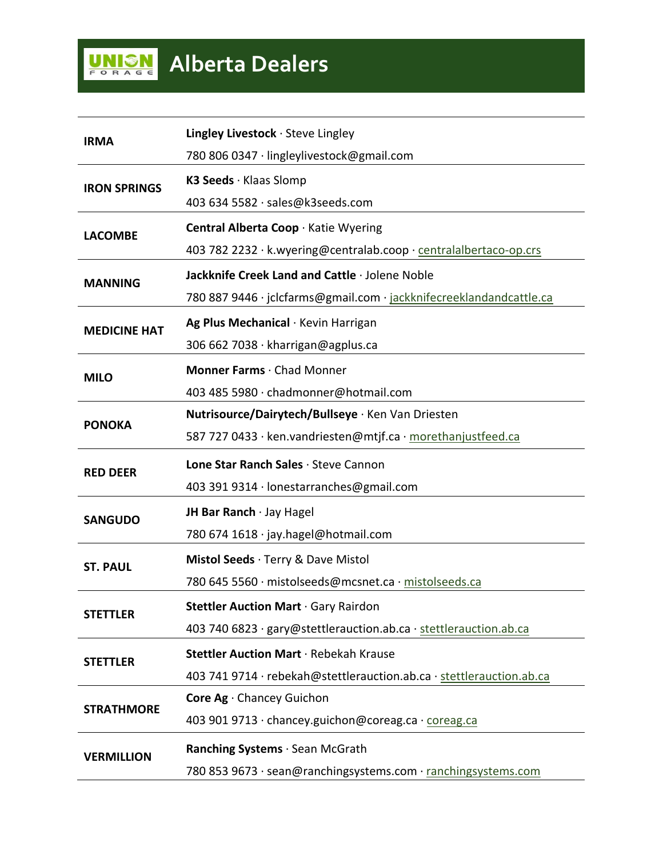| <b>IRMA</b>         | <b>Lingley Livestock</b> $\cdot$ Steve Lingley                       |
|---------------------|----------------------------------------------------------------------|
|                     | 780 806 0347 · lingleylivestock@gmail.com                            |
| <b>IRON SPRINGS</b> | K3 Seeds · Klaas Slomp                                               |
|                     | 403 634 5582 · sales@k3seeds.com                                     |
| <b>LACOMBE</b>      | Central Alberta Coop · Katie Wyering                                 |
|                     | 403 782 2232 · k.wyering@centralab.coop · centralalbertaco-op.crs    |
| <b>MANNING</b>      | Jackknife Creek Land and Cattle · Jolene Noble                       |
|                     | 780 887 9446 · jclcfarms@gmail.com · jackknifecreeklandandcattle.ca  |
| <b>MEDICINE HAT</b> | Ag Plus Mechanical · Kevin Harrigan                                  |
|                     | 306 662 7038 · kharrigan@agplus.ca                                   |
| <b>MILO</b>         | Monner Farms · Chad Monner                                           |
|                     | 403 485 5980 · chadmonner@hotmail.com                                |
|                     | Nutrisource/Dairytech/Bullseye · Ken Van Driesten                    |
| <b>PONOKA</b>       | 587 727 0433 · ken.vandriesten@mtjf.ca · morethanjustfeed.ca         |
|                     |                                                                      |
|                     | Lone Star Ranch Sales · Steve Cannon                                 |
| <b>RED DEER</b>     | 403 391 9314 · lonestarranches@gmail.com                             |
|                     | JH Bar Ranch · Jay Hagel                                             |
| <b>SANGUDO</b>      | 780 674 1618 · jay.hagel@hotmail.com                                 |
|                     | Mistol Seeds · Terry & Dave Mistol                                   |
| <b>ST. PAUL</b>     | 780 645 5560 · mistolseeds@mcsnet.ca · mistolseeds.ca                |
|                     | Stettler Auction Mart · Gary Rairdon                                 |
| <b>STETTLER</b>     | 403 740 6823 · gary@stettlerauction.ab.ca · stettlerauction.ab.ca    |
|                     | Stettler Auction Mart · Rebekah Krause                               |
| <b>STETTLER</b>     | 403 741 9714 · rebekah@stettlerauction.ab.ca · stettlerauction.ab.ca |
|                     | Core Ag · Chancey Guichon                                            |
| <b>STRATHMORE</b>   | 403 901 9713 · chancey.guichon@coreag.ca · coreag.ca                 |
| <b>VERMILLION</b>   | Ranching Systems · Sean McGrath                                      |